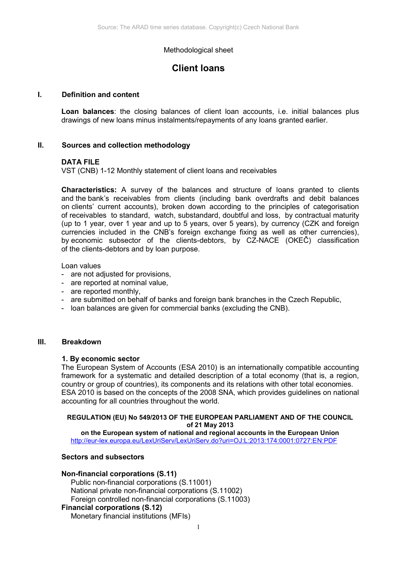# Methodological sheet

# **Client loans**

### **I. Definition and content**

**Loan balances**: the closing balances of client loan accounts, i.e. initial balances plus drawings of new loans minus instalments/repayments of any loans granted earlier.

### **II. Sources and collection methodology**

### **DATA FILE**

VST (CNB) 1-12 Monthly statement of client loans and receivables

**Characteristics:** A survey of the balances and structure of loans granted to clients and the bank's receivables from clients (including bank overdrafts and debit balances on clients' current accounts), broken down according to the principles of categorisation of receivables to standard, watch, substandard, doubtful and loss, by contractual maturity (up to 1 year, over 1 year and up to 5 years, over 5 years), by currency (CZK and foreign currencies included in the CNB's foreign exchange fixing as well as other currencies), by economic subsector of the clients-debtors, by CZ-NACE (OKEČ) classification of the clients-debtors and by loan purpose.

Loan values

- are not adjusted for provisions,
- are reported at nominal value,
- are reported monthly,
- are submitted on behalf of banks and foreign bank branches in the Czech Republic,
- loan balances are given for commercial banks (excluding the CNB).

### **III. Breakdown**

#### **1. By economic sector**

The European System of Accounts (ESA 2010) is an internationally compatible accounting framework for a systematic and detailed description of a total economy (that is, a region, country or group of countries), its components and its relations with other total economies. ESA 2010 is based on the concepts of the 2008 SNA, which provides guidelines on national accounting for all countries throughout the world.

#### **REGULATION (EU) No 549/2013 OF THE EUROPEAN PARLIAMENT AND OF THE COUNCIL of 21 May 2013**

**on the European system of national and regional accounts in the European Union** <http://eur-lex.europa.eu/LexUriServ/LexUriServ.do?uri=OJ:L:2013:174:0001:0727:EN:PDF>

### **Sectors and subsectors**

#### **Non-financial corporations (S.11)**

Public non-financial corporations (S.11001) National private non-financial corporations (S.11002) Foreign controlled non-financial corporations (S.11003)

# **Financial corporations (S.12)**

Monetary financial institutions (MFIs)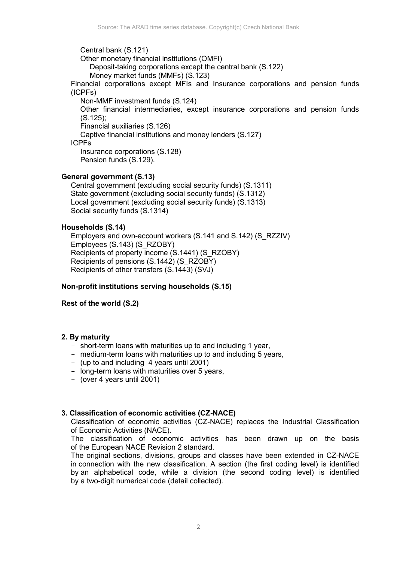Central bank (S.121) Other monetary financial institutions (OMFI) Deposit-taking corporations except the central bank (S.122) Money market funds (MMFs) (S.123) Financial corporations except MFIs and Insurance corporations and pension funds (ICPFs) Non-MMF investment funds (S.124) Other financial intermediaries, except insurance corporations and pension funds (S.125); Financial auxiliaries (S.126) Captive financial institutions and money lenders (S.127) ICPFs Insurance corporations (S.128) Pension funds (S.129).

### **General government (S.13)**

Central government (excluding social security funds) (S.1311) State government (excluding social security funds) (S.1312) Local government (excluding social security funds) (S.1313) Social security funds (S.1314)

### **Households (S.14)**

Employers and own-account workers (S.141 and S.142) (S\_RZZIV) Employees (S.143) (S\_RZOBY) Recipients of property income (S.1441) (S\_RZOBY) Recipients of pensions (S.1442) (S\_RZOBY) Recipients of other transfers (S.1443) (SVJ)

#### **Non-profit institutions serving households (S.15)**

#### **Rest of the world (S.2)**

# **2. By maturity**

- short-term loans with maturities up to and including 1 year,
- medium-term loans with maturities up to and including 5 years,
- (up to and including 4 years until 2001)
- long-term loans with maturities over 5 years,
- (over 4 years until 2001)

#### **3. Classification of economic activities (CZ-NACE)**

Classification of economic activities (CZ-NACE) replaces the Industrial Classification of Economic Activities (NACE).

The classification of economic activities has been drawn up on the basis of the European NACE Revision 2 standard.

The original sections, divisions, groups and classes have been extended in CZ-NACE in connection with the new classification. A section (the first coding level) is identified by an alphabetical code, while a division (the second coding level) is identified by a two-digit numerical code (detail collected).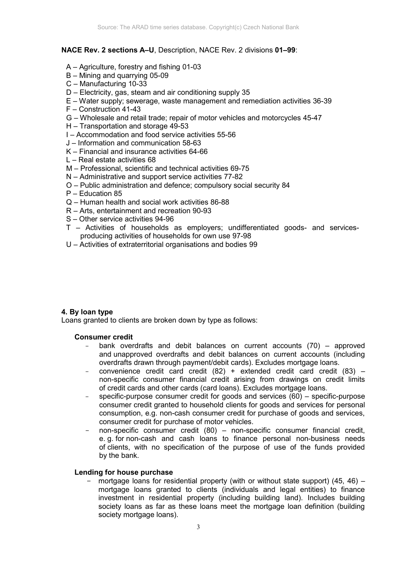# **NACE Rev. 2 sections A–U**, Description, NACE Rev. 2 divisions **01–99**:

- A Agriculture, forestry and fishing 01-03
- B Mining and quarrying 05-09
- C Manufacturing 10-33
- D Electricity, gas, steam and air conditioning supply 35
- E Water supply; sewerage, waste management and remediation activities 36-39
- F Construction 41-43
- G Wholesale and retail trade; repair of motor vehicles and motorcycles 45-47
- H Transportation and storage 49-53
- I Accommodation and food service activities 55-56
- J Information and communication 58-63
- K Financial and insurance activities 64-66
- L Real estate activities 68
- M Professional, scientific and technical activities 69-75
- N Administrative and support service activities 77-82
- O Public administration and defence; compulsory social security 84
- P Education 85
- Q Human health and social work activities 86-88
- R Arts, entertainment and recreation 90-93
- S Other service activities 94-96
- T Activities of households as employers; undifferentiated goods- and servicesproducing activities of households for own use 97-98
- U Activities of extraterritorial organisations and bodies 99

# **4. By loan type**

Loans granted to clients are broken down by type as follows:

#### **Consumer credit**

- bank overdrafts and debit balances on current accounts  $(70)$  approved and unapproved overdrafts and debit balances on current accounts (including overdrafts drawn through payment/debit cards). Excludes mortgage loans.
- convenience credit card credit  $(82)$  + extended credit card credit  $(83)$  non-specific consumer financial credit arising from drawings on credit limits of credit cards and other cards (card loans). Excludes mortgage loans.
- specific-purpose consumer credit for goods and services  $(60)$  specific-purpose consumer credit granted to household clients for goods and services for personal consumption, e.g. non-cash consumer credit for purchase of goods and services, consumer credit for purchase of motor vehicles.
- non-specific consumer credit (80) non-specific consumer financial credit, e. g. for non-cash and cash loans to finance personal non-business needs of clients, with no specification of the purpose of use of the funds provided by the bank.

# **Lending for house purchase**

mortgage loans for residential property (with or without state support) (45, 46) – mortgage loans granted to clients (individuals and legal entities) to finance investment in residential property (including building land). Includes building society loans as far as these loans meet the mortgage loan definition (building society mortgage loans).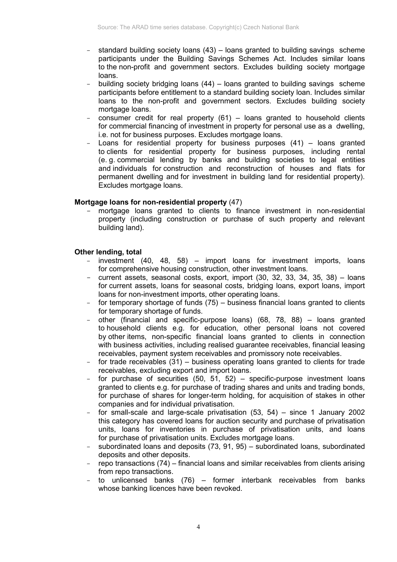- standard building society loans  $(43)$  loans granted to building savings scheme participants under the Building Savings Schemes Act. Includes similar loans to the non-profit and government sectors. Excludes building society mortgage loans.
- building society bridging loans (44) loans granted to building savings scheme participants before entitlement to a standard building society loan. Includes similar loans to the non-profit and government sectors. Excludes building society mortgage loans.
- consumer credit for real property  $(61)$  loans granted to household clients for commercial financing of investment in property for personal use as a dwelling, i.e. not for business purposes. Excludes mortgage loans.
- Loans for residential property for business purposes  $(41)$  loans granted to clients for residential property for business purposes, including rental (e. g. commercial lending by banks and building societies to legal entities and individuals for construction and reconstruction of houses and flats for permanent dwelling and for investment in building land for residential property). Excludes mortgage loans.

# **Mortgage loans for non-residential property** (47)

mortgage loans granted to clients to finance investment in non-residential property (including construction or purchase of such property and relevant building land).

# **Other lending, total**

- investment  $(40, 48, 58)$  import loans for investment imports, loans for comprehensive housing construction, other investment loans.
- current assets, seasonal costs, export, import (30, 32, 33, 34, 35, 38) loans for current assets, loans for seasonal costs, bridging loans, export loans, import loans for non-investment imports, other operating loans.
- for temporary shortage of funds  $(75)$  business financial loans granted to clients for temporary shortage of funds.
- other (financial and specific-purpose loans) (68, 78, 88) loans granted to household clients e.g. for education, other personal loans not covered by other items, non-specific financial loans granted to clients in connection with business activities, including realised guarantee receivables, financial leasing receivables, payment system receivables and promissory note receivables.
- for trade receivables (31) business operating loans granted to clients for trade receivables, excluding export and import loans.
- for purchase of securities  $(50, 51, 52)$  specific-purpose investment loans granted to clients e.g. for purchase of trading shares and units and trading bonds, for purchase of shares for longer-term holding, for acquisition of stakes in other companies and for individual privatisation.
- for small-scale and large-scale privatisation  $(53, 54)$  since 1 January 2002 this category has covered loans for auction security and purchase of privatisation units, loans for inventories in purchase of privatisation units, and loans for purchase of privatisation units. Excludes mortgage loans.
- subordinated loans and deposits (73, 91, 95) subordinated loans, subordinated deposits and other deposits.
- repo transactions (74) financial loans and similar receivables from clients arising from repo transactions.
- to unlicensed banks (76) former interbank receivables from banks whose banking licences have been revoked.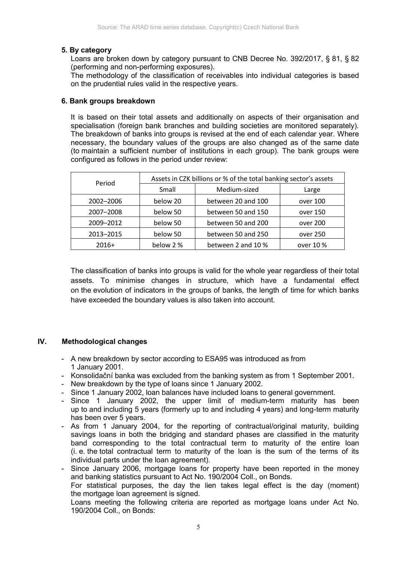# **5. By category**

Loans are broken down by category pursuant to CNB Decree No. 392/2017, § 81, § 82 (performing and non-performing exposures).

The methodology of the classification of receivables into individual categories is based on the prudential rules valid in the respective years.

# **6. Bank groups breakdown**

It is based on their total assets and additionally on aspects of their organisation and specialisation (foreign bank branches and building societies are monitored separately). The breakdown of banks into groups is revised at the end of each calendar year. Where necessary, the boundary values of the groups are also changed as of the same date (to maintain a sufficient number of institutions in each group). The bank groups were configured as follows in the period under review:

| Period    | Assets in CZK billions or % of the total banking sector's assets |                    |           |
|-----------|------------------------------------------------------------------|--------------------|-----------|
|           | Small                                                            | Medium-sized       | Large     |
| 2002-2006 | below 20                                                         | between 20 and 100 | over 100  |
| 2007-2008 | below 50                                                         | between 50 and 150 | over 150  |
| 2009-2012 | below 50                                                         | between 50 and 200 | over 200  |
| 2013-2015 | below 50                                                         | between 50 and 250 | over 250  |
| $2016+$   | below 2 %                                                        | between 2 and 10 % | over 10 % |

The classification of banks into groups is valid for the whole year regardless of their total assets. To minimise changes in structure, which have a fundamental effect on the evolution of indicators in the groups of banks, the length of time for which banks have exceeded the boundary values is also taken into account.

# **IV. Methodological changes**

- A new breakdown by sector according to ESA95 was introduced as from 1 January 2001.
- Konsolidační banka was excluded from the banking system as from 1 September 2001.
- New breakdown by the type of loans since 1 January 2002.
- Since 1 January 2002, loan balances have included loans to general government.
- Since 1 January 2002, the upper limit of medium-term maturity has been up to and including 5 years (formerly up to and including 4 years) and long-term maturity has been over 5 years.
- As from 1 January 2004, for the reporting of contractual/original maturity, building savings loans in both the bridging and standard phases are classified in the maturity band corresponding to the total contractual term to maturity of the entire loan (i. e. the total contractual term to maturity of the loan is the sum of the terms of its individual parts under the loan agreement).

- Since January 2006, mortgage loans for property have been reported in the money and banking statistics pursuant to Act No. 190/2004 Coll., on Bonds. For statistical purposes, the day the lien takes legal effect is the day (moment) the mortgage loan agreement is signed.

Loans meeting the following criteria are reported as mortgage loans under Act No. 190/2004 Coll., on Bonds: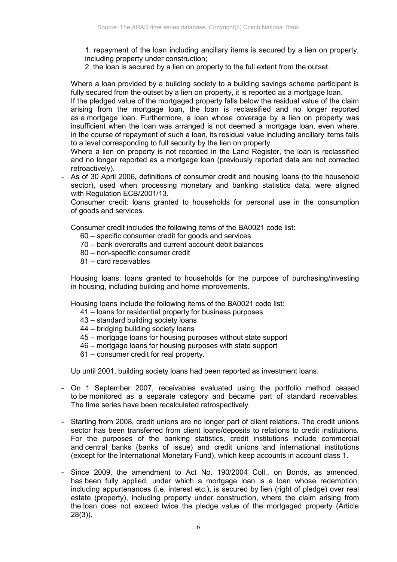1. repayment of the loan including ancillary items is secured by a lien on property, including property under construction;

2. the loan is secured by a lien on property to the full extent from the outset.

Where a loan provided by a building society to a building savings scheme participant is fully secured from the outset by a lien on property, it is reported as a mortgage loan.

If the pledged value of the mortgaged property falls below the residual value of the claim arising from the mortgage loan, the loan is reclassified and no longer reported as a mortgage loan. Furthermore, a loan whose coverage by a lien on property was insufficient when the loan was arranged is not deemed a mortgage loan, even where, in the course of repayment of such a loan, its residual value including ancillary items falls to a level corresponding to full security by the lien on property.

Where a lien on property is not recorded in the Land Register, the loan is reclassified and no longer reported as a mortgage loan (previously reported data are not corrected retroactively).

As of 30 April 2006, definitions of consumer credit and housing loans (to the household sector), used when processing monetary and banking statistics data, were aligned with Regulation ECB/2001/13.

Consumer credit: loans granted to households for personal use in the consumption of goods and services.

Consumer credit includes the following items of the BA0021 code list:

- 60 specific consumer credit for goods and services
- 70 bank overdrafts and current account debit balances
- 80 non-specific consumer credit
- 81 card receivables

Housing loans: loans granted to households for the purpose of purchasing/investing in housing, including building and home improvements.

Housing loans include the following items of the BA0021 code list:

- 41 loans for residential property for business purposes
- 43 standard building society loans
- 44 bridging building society loans
- 45 mortgage loans for housing purposes without state support
- 46 mortgage loans for housing purposes with state support
- 61 consumer credit for real property.

Up until 2001, building society loans had been reported as investment loans.

- On 1 September 2007, receivables evaluated using the portfolio method ceased to be monitored as a separate category and became part of standard receivables. The time series have been recalculated retrospectively.
- Starting from 2008, credit unions are no longer part of client relations. The credit unions sector has been transferred from client loans/deposits to relations to credit institutions. For the purposes of the banking statistics, credit institutions include commercial and central banks (banks of issue) and credit unions and international institutions (except for the International Monetary Fund), which keep accounts in account class 1.
- Since 2009, the amendment to Act No. 190/2004 Coll., on Bonds, as amended, has been fully applied, under which a mortgage loan is a loan whose redemption, including appurtenances (i.e. interest etc.), is secured by lien (right of pledge) over real estate (property), including property under construction, where the claim arising from the loan does not exceed twice the pledge value of the mortgaged property (Article 28(3)).